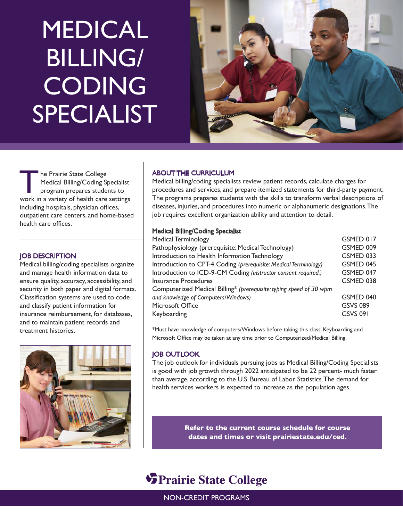# MEDICAL BILLING/ CODING SPECIALIST



he Prairie State College Medical Billing/Coding Specialist program prepares students to work in a variety of health care settings including hospitals, physician offices, outpatient care centers, and home-based health care offices.

# JOB DESCRIPTION

Medical billing/coding specialists organize and manage health information data to ensure quality, accuracy, accessibility, and security in both paper and digital formats. Classification systems are used to code and classify patient information for insurance reimbursement, for databases, and to maintain patient records and treatment histories.



# ABOUT THE CURRICULUM

Medical billing/coding specialists review patient records, calculate charges for procedures and services, and prepare itemized statements for third-party payment. The programs prepares students with the skills to transform verbal descriptions of diseases, injuries, and procedures into numeric or alphanumeric designations. The job requires excellent organization ability and attention to detail.

# Medical Billing/Coding Specialist

| Medical Terminology                                                 | GSMED 017       |
|---------------------------------------------------------------------|-----------------|
| Pathophysiology (prerequisite: Medical Technology)                  | GSMED 009       |
| Introduction to Health Information Technology                       | GSMED 033       |
| Introduction to CPT-4 Coding (prerequisite: Medical Terminology)    | GSMED 045       |
| Introduction to ICD-9-CM Coding (instructor consent required.)      | GSMED 047       |
| <b>Insurance Procedures</b>                                         | GSMED 038       |
| Computerized Medical Billing* (prerequisite: typing speed of 30 wpm |                 |
| and knowledge of Computers/Windows)                                 | GSMED 040       |
| Microsoft Office                                                    | <b>GSVS 089</b> |
| Keyboarding                                                         | <b>GSVS 091</b> |
|                                                                     |                 |

\*Must have knowledge of computers/Windows before taking this class. Keyboarding and Microsoft Office may be taken at any time prior to Computerized/Medical Billing.

# JOB OUTLOOK

The job outlook for individuals pursuing jobs as Medical Billing/Coding Specialists is good with job growth through 2022 anticipated to be 22 percent- much faster than average, according to the U.S. Bureau of Labor Statistics. The demand for health services workers is expected to increase as the population ages.

> **Refer to the current course schedule for course dates and times or visit prairiestate.edu/ced.**